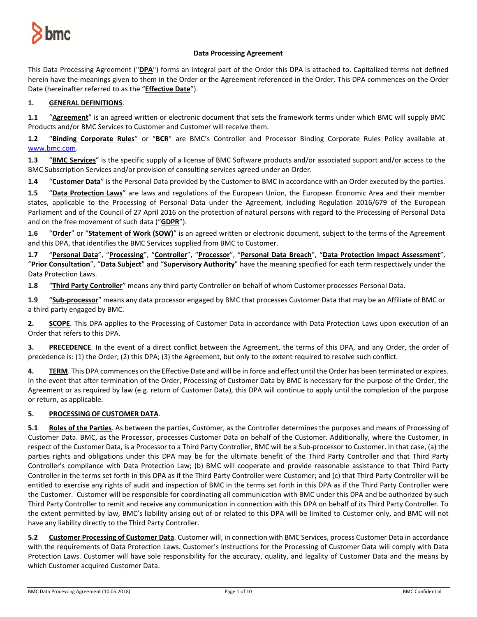

# **Data Processing Agreement**

This Data Processing Agreement ("**DPA**") forms an integral part of the Order this DPA is attached to. Capitalized terms not defined herein have the meanings given to them in the Order or the Agreement referenced in the Order. This DPA commences on the Order Date (hereinafter referred to as the "**Effective Date**").

# **1. GENERAL DEFINITIONS**.

**1.1** "**Agreement**" is an agreed written or electronic document that sets the framework terms under which BMC will supply BMC Products and/or BMC Services to Customer and Customer will receive them.

**1.2** "**Binding Corporate Rules**" or "**BCR**" are BMC's Controller and Processor Binding Corporate Rules Policy available at [www.bmc.com.](http://www.bmc.com/)

**1.3** "**BMC Services**" is the specific supply of a license of BMC Software products and/or associated support and/or access to the BMC Subscription Services and/or provision of consulting services agreed under an Order.

**1.4** "**Customer Data**" is the Personal Data provided by the Customer to BMC in accordance with an Order executed by the parties.

**1.5** "**Data Protection Laws**" are laws and regulations of the European Union, the European Economic Area and their member states, applicable to the Processing of Personal Data under the Agreement, including Regulation 2016/679 of the European Parliament and of the Council of 27 April 2016 on the protection of natural persons with regard to the Processing of Personal Data and on the free movement of such data ("**GDPR**").

**1.6** "**Order**" or "**Statement of Work (SOW)**" is an agreed written or electronic document, subject to the terms of the Agreement and this DPA, that identifies the BMC Services supplied from BMC to Customer.

**1.7** "**Personal Data**", "**Processing**", "**Controller**", "**Processor**", "**Personal Data Breach**", "**Data Protection Impact Assessment**", "**Prior Consultation**", "**Data Subject**" and "**Supervisory Authority**" have the meaning specified for each term respectively under the Data Protection Laws.

**1.8** "**Third Party Controller**" means any third party Controller on behalf of whom Customer processes Personal Data.

**1.9** "**Sub-processor**" means any data processor engaged by BMC that processes Customer Data that may be an Affiliate of BMC or a third party engaged by BMC.

**2. SCOPE**. This DPA applies to the Processing of Customer Data in accordance with Data Protection Laws upon execution of an Order that refers to this DPA.

**3. PRECEDENCE**. In the event of a direct conflict between the Agreement, the terms of this DPA, and any Order, the order of precedence is: (1) the Order; (2) this DPA; (3) the Agreement, but only to the extent required to resolve such conflict.

**4. TERM**. This DPA commences on the Effective Date and will be in force and effect until the Order has been terminated or expires. In the event that after termination of the Order, Processing of Customer Data by BMC is necessary for the purpose of the Order, the Agreement or as required by law (e.g. return of Customer Data), this DPA will continue to apply until the completion of the purpose or return, as applicable.

# **5. PROCESSING OF CUSTOMER DATA**.

**5.1 Roles of the Parties**. As between the parties, Customer, as the Controller determines the purposes and means of Processing of Customer Data. BMC, as the Processor, processes Customer Data on behalf of the Customer. Additionally, where the Customer, in respect of the Customer Data, is a Processor to a Third Party Controller, BMC will be a Sub-processor to Customer. In that case, (a) the parties rights and obligations under this DPA may be for the ultimate benefit of the Third Party Controller and that Third Party Controller's compliance with Data Protection Law; (b) BMC will cooperate and provide reasonable assistance to that Third Party Controller in the terms set forth in this DPA as if the Third Party Controller were Customer; and (c) that Third Party Controller will be entitled to exercise any rights of audit and inspection of BMC in the terms set forth in this DPA as if the Third Party Controller were the Customer. Customer will be responsible for coordinating all communication with BMC under this DPA and be authorized by such Third Party Controller to remit and receive any communication in connection with this DPA on behalf of its Third Party Controller. To the extent permitted by law, BMC's liability arising out of or related to this DPA will be limited to Customer only, and BMC will not have any liability directly to the Third Party Controller.

**5.2 Customer Processing of Customer Data**. Customer will, in connection with BMC Services, process Customer Data in accordance with the requirements of Data Protection Laws. Customer's instructions for the Processing of Customer Data will comply with Data Protection Laws. Customer will have sole responsibility for the accuracy, quality, and legality of Customer Data and the means by which Customer acquired Customer Data.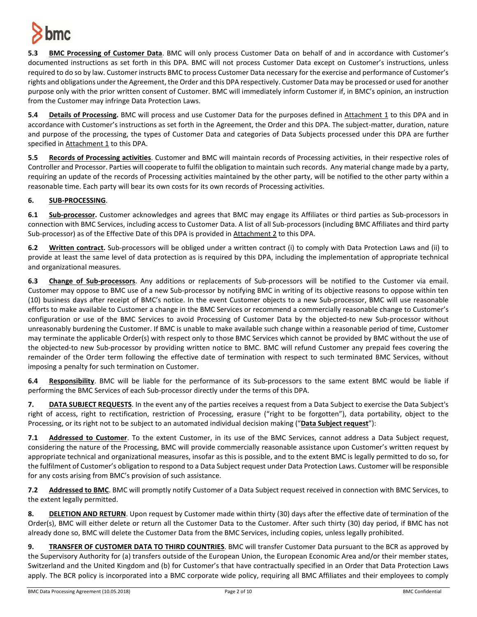

**5.3 BMC Processing of Customer Data**. BMC will only process Customer Data on behalf of and in accordance with Customer's documented instructions as set forth in this DPA. BMC will not process Customer Data except on Customer's instructions, unless required to do so by law. Customer instructs BMC to process Customer Data necessary for the exercise and performance of Customer's rights and obligations under the Agreement, the Order and this DPA respectively. Customer Data may be processed or used for another purpose only with the prior written consent of Customer. BMC will immediately inform Customer if, in BMC's opinion, an instruction from the Customer may infringe Data Protection Laws.

**5.4 Details of Processing.** BMC will process and use Customer Data for the purposes defined in Attachment 1 to this DPA and in accordance with Customer's instructions as set forth in the Agreement, the Order and this DPA. The subject-matter, duration, nature and purpose of the processing, the types of Customer Data and categories of Data Subjects processed under this DPA are further specified in Attachment 1 to this DPA.

**5.5 Records of Processing activities**. Customer and BMC will maintain records of Processing activities, in their respective roles of Controller and Processor. Parties will cooperate to fulfil the obligation to maintain such records. Any material change made by a party, requiring an update of the records of Processing activities maintained by the other party, will be notified to the other party within a reasonable time. Each party will bear its own costs for its own records of Processing activities.

# **6. SUB-PROCESSING**.

**6.1 Sub-processor.** Customer acknowledges and agrees that BMC may engage its Affiliates or third parties as Sub-processors in connection with BMC Services, including access to Customer Data. A list of all Sub-processors (including BMC Affiliates and third party Sub-processor) as of the Effective Date of this DPA is provided in Attachment 2 to this DPA.

**6.2 Written contract.** Sub-processors will be obliged under a written contract (i) to comply with Data Protection Laws and (ii) to provide at least the same level of data protection as is required by this DPA, including the implementation of appropriate technical and organizational measures.

**6.3 Change of Sub-processors**. Any additions or replacements of Sub-processors will be notified to the Customer via email. Customer may oppose to BMC use of a new Sub-processor by notifying BMC in writing of its objective reasons to oppose within ten (10) business days after receipt of BMC's notice. In the event Customer objects to a new Sub-processor, BMC will use reasonable efforts to make available to Customer a change in the BMC Services or recommend a commercially reasonable change to Customer's configuration or use of the BMC Services to avoid Processing of Customer Data by the objected-to new Sub-processor without unreasonably burdening the Customer. If BMC is unable to make available such change within a reasonable period of time, Customer may terminate the applicable Order(s) with respect only to those BMC Services which cannot be provided by BMC without the use of the objected-to new Sub-processor by providing written notice to BMC. BMC will refund Customer any prepaid fees covering the remainder of the Order term following the effective date of termination with respect to such terminated BMC Services, without imposing a penalty for such termination on Customer.

**6.4 Responsibility**. BMC will be liable for the performance of its Sub-processors to the same extent BMC would be liable if performing the BMC Services of each Sub-processor directly under the terms of this DPA.

**7. DATA SUBJECT REQUESTS**. In the event any of the parties receives a request from a Data Subject to exercise the Data Subject's right of access, right to rectification, restriction of Processing, erasure ("right to be forgotten"), data portability, object to the Processing, or its right not to be subject to an automated individual decision making ("**Data Subject request**"):

**7.1 Addressed to Customer**. To the extent Customer, in its use of the BMC Services, cannot address a Data Subject request, considering the nature of the Processing, BMC will provide commercially reasonable assistance upon Customer's written request by appropriate technical and organizational measures, insofar as this is possible, and to the extent BMC is legally permitted to do so, for the fulfilment of Customer's obligation to respond to a Data Subject request under Data Protection Laws. Customer will be responsible for any costs arising from BMC's provision of such assistance.

**7.2 Addressed to BMC**. BMC will promptly notify Customer of a Data Subject request received in connection with BMC Services, to the extent legally permitted.

**8. DELETION AND RETURN**. Upon request by Customer made within thirty (30) days after the effective date of termination of the Order(s), BMC will either delete or return all the Customer Data to the Customer. After such thirty (30) day period, if BMC has not already done so, BMC will delete the Customer Data from the BMC Services, including copies, unless legally prohibited.

**9. TRANSFER OF CUSTOMER DATA TO THIRD COUNTRIES**. BMC will transfer Customer Data pursuant to the BCR as approved by the Supervisory Authority for (a) transfers outside of the European Union, the European Economic Area and/or their member states, Switzerland and the United Kingdom and (b) for Customer's that have contractually specified in an Order that Data Protection Laws apply. The BCR policy is incorporated into a BMC corporate wide policy, requiring all BMC Affiliates and their employees to comply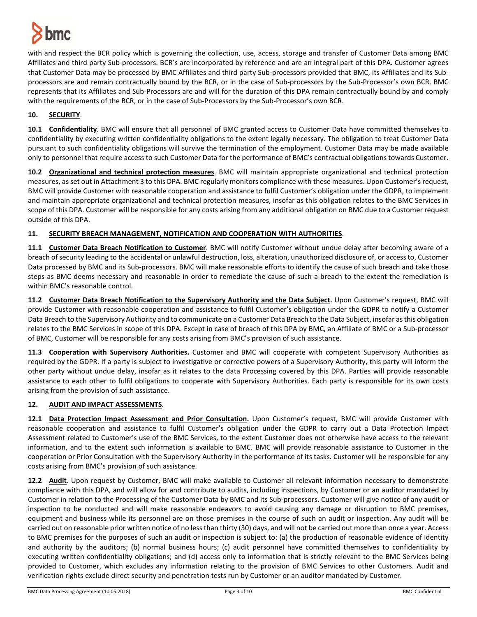

with and respect the BCR policy which is governing the collection, use, access, storage and transfer of Customer Data among BMC Affiliates and third party Sub-processors. BCR's are incorporated by reference and are an integral part of this DPA. Customer agrees that Customer Data may be processed by BMC Affiliates and third party Sub-processors provided that BMC, its Affiliates and its Subprocessors are and remain contractually bound by the BCR, or in the case of Sub-processors by the Sub-Processor's own BCR. BMC represents that its Affiliates and Sub-Processors are and will for the duration of this DPA remain contractually bound by and comply with the requirements of the BCR, or in the case of Sub-Processors by the Sub-Processor's own BCR.

# **10. SECURITY**.

**10.1 Confidentiality**. BMC will ensure that all personnel of BMC granted access to Customer Data have committed themselves to confidentiality by executing written confidentiality obligations to the extent legally necessary. The obligation to treat Customer Data pursuant to such confidentiality obligations will survive the termination of the employment. Customer Data may be made available only to personnel that require access to such Customer Data for the performance of BMC's contractual obligations towards Customer.

**10.2 Organizational and technical protection measures**. BMC will maintain appropriate organizational and technical protection measures, as set out in Attachment 3 to this DPA. BMC regularly monitors compliance with these measures. Upon Customer's request, BMC will provide Customer with reasonable cooperation and assistance to fulfil Customer's obligation under the GDPR, to implement and maintain appropriate organizational and technical protection measures, insofar as this obligation relates to the BMC Services in scope of this DPA. Customer will be responsible for any costs arising from any additional obligation on BMC due to a Customer request outside of this DPA.

## **11. SECURITY BREACH MANAGEMENT, NOTIFICATION AND COOPERATION WITH AUTHORITIES**.

**11.1 Customer Data Breach Notification to Customer**. BMC will notify Customer without undue delay after becoming aware of a breach of security leading to the accidental or unlawful destruction, loss, alteration, unauthorized disclosure of, or accessto, Customer Data processed by BMC and its Sub-processors. BMC will make reasonable efforts to identify the cause of such breach and take those steps as BMC deems necessary and reasonable in order to remediate the cause of such a breach to the extent the remediation is within BMC's reasonable control.

**11.2 Customer Data Breach Notification to the Supervisory Authority and the Data Subject.** Upon Customer's request, BMC will provide Customer with reasonable cooperation and assistance to fulfil Customer's obligation under the GDPR to notify a Customer Data Breach to the Supervisory Authority and to communicate on a Customer Data Breach to the Data Subject, insofar as this obligation relates to the BMC Services in scope of this DPA. Except in case of breach of this DPA by BMC, an Affiliate of BMC or a Sub-processor of BMC, Customer will be responsible for any costs arising from BMC's provision of such assistance.

**11.3 Cooperation with Supervisory Authorities.** Customer and BMC will cooperate with competent Supervisory Authorities as required by the GDPR. If a party is subject to investigative or corrective powers of a Supervisory Authority, this party will inform the other party without undue delay, insofar as it relates to the data Processing covered by this DPA. Parties will provide reasonable assistance to each other to fulfil obligations to cooperate with Supervisory Authorities. Each party is responsible for its own costs arising from the provision of such assistance.

# **12. AUDIT AND IMPACT ASSESSMENTS**.

**12.1 Data Protection Impact Assessment and Prior Consultation.** Upon Customer's request, BMC will provide Customer with reasonable cooperation and assistance to fulfil Customer's obligation under the GDPR to carry out a Data Protection Impact Assessment related to Customer's use of the BMC Services, to the extent Customer does not otherwise have access to the relevant information, and to the extent such information is available to BMC. BMC will provide reasonable assistance to Customer in the cooperation or Prior Consultation with the Supervisory Authority in the performance of its tasks. Customer will be responsible for any costs arising from BMC's provision of such assistance.

**12.2 Audit**. Upon request by Customer, BMC will make available to Customer all relevant information necessary to demonstrate compliance with this DPA, and will allow for and contribute to audits, including inspections, by Customer or an auditor mandated by Customer in relation to the Processing of the Customer Data by BMC and its Sub-processors. Customer will give notice of any audit or inspection to be conducted and will make reasonable endeavors to avoid causing any damage or disruption to BMC premises, equipment and business while its personnel are on those premises in the course of such an audit or inspection. Any audit will be carried out on reasonable prior written notice of no less than thirty (30) days, and will not be carried out more than once a year. Access to BMC premises for the purposes of such an audit or inspection is subject to: (a) the production of reasonable evidence of identity and authority by the auditors; (b) normal business hours; (c) audit personnel have committed themselves to confidentiality by executing written confidentiality obligations; and (d) access only to information that is strictly relevant to the BMC Services being provided to Customer, which excludes any information relating to the provision of BMC Services to other Customers. Audit and verification rights exclude direct security and penetration tests run by Customer or an auditor mandated by Customer.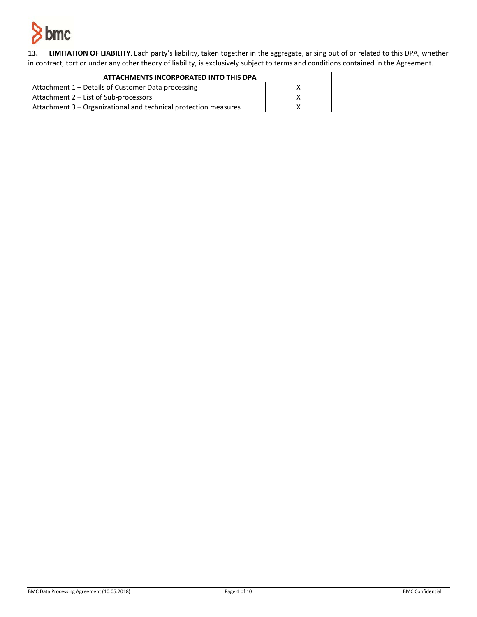

**13. LIMITATION OF LIABILITY**. Each party's liability, taken together in the aggregate, arising out of or related to this DPA, whether in contract, tort or under any other theory of liability, is exclusively subject to terms and conditions contained in the Agreement.

| ATTACHMENTS INCORPORATED INTO THIS DPA                          |  |
|-----------------------------------------------------------------|--|
| Attachment 1 – Details of Customer Data processing              |  |
| Attachment 2 – List of Sub-processors                           |  |
| Attachment 3 – Organizational and technical protection measures |  |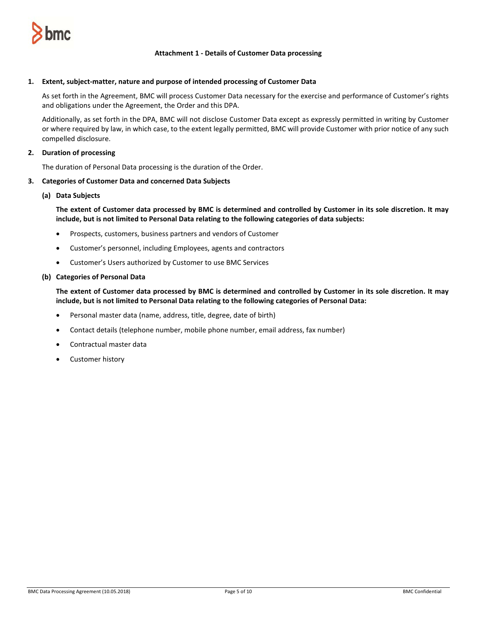

### **Attachment 1 - Details of Customer Data processing**

### **1. Extent, subject-matter, nature and purpose of intended processing of Customer Data**

As set forth in the Agreement, BMC will process Customer Data necessary for the exercise and performance of Customer's rights and obligations under the Agreement, the Order and this DPA.

Additionally, as set forth in the DPA, BMC will not disclose Customer Data except as expressly permitted in writing by Customer or where required by law, in which case, to the extent legally permitted, BMC will provide Customer with prior notice of any such compelled disclosure.

### **2. Duration of processing**

The duration of Personal Data processing is the duration of the Order.

#### **3. Categories of Customer Data and concerned Data Subjects**

#### **(a) Data Subjects**

**The extent of Customer data processed by BMC is determined and controlled by Customer in its sole discretion. It may include, but is not limited to Personal Data relating to the following categories of data subjects:**

- Prospects, customers, business partners and vendors of Customer
- Customer's personnel, including Employees, agents and contractors
- Customer's Users authorized by Customer to use BMC Services

#### **(b) Categories of Personal Data**

**The extent of Customer data processed by BMC is determined and controlled by Customer in its sole discretion. It may include, but is not limited to Personal Data relating to the following categories of Personal Data:**

- Personal master data (name, address, title, degree, date of birth)
- Contact details (telephone number, mobile phone number, email address, fax number)
- Contractual master data
- Customer history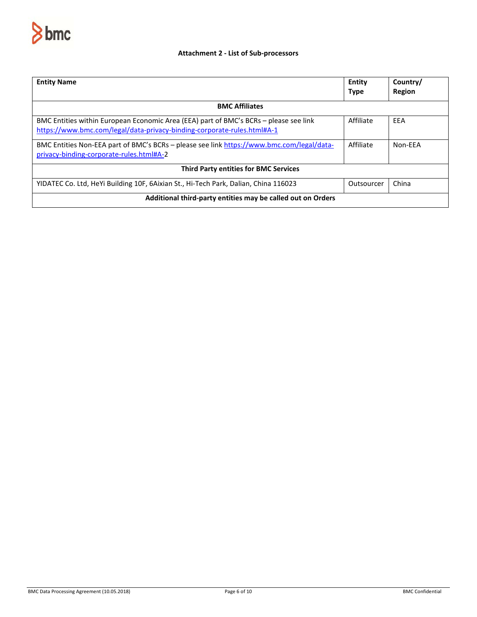

# **Attachment 2 - List of Sub-processors**

| <b>Entity Name</b>                                                                                                                                               | Entity<br><b>Type</b> | Country/<br>Region |  |
|------------------------------------------------------------------------------------------------------------------------------------------------------------------|-----------------------|--------------------|--|
| <b>BMC Affiliates</b>                                                                                                                                            |                       |                    |  |
| BMC Entities within European Economic Area (EEA) part of BMC's BCRs - please see link<br>https://www.bmc.com/legal/data-privacy-binding-corporate-rules.html#A-1 | Affiliate             | EEA                |  |
| BMC Entities Non-EEA part of BMC's BCRs - please see link https://www.bmc.com/legal/data-<br>privacy-binding-corporate-rules.html#A-2                            | Affiliate             | Non-FFA            |  |
| <b>Third Party entities for BMC Services</b>                                                                                                                     |                       |                    |  |
| YIDATEC Co. Ltd, HeYi Building 10F, 6Aixian St., Hi-Tech Park, Dalian, China 116023                                                                              | Outsourcer            | China              |  |
| Additional third-party entities may be called out on Orders                                                                                                      |                       |                    |  |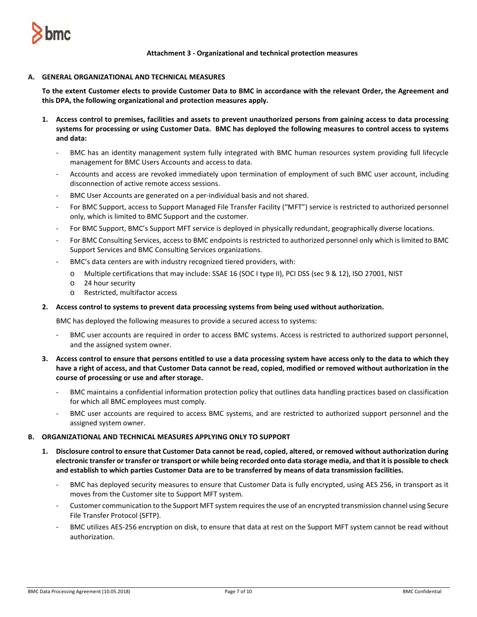

**Attachment 3 - Organizational and technical protection measures**

### **A. GENERAL ORGANIZATIONAL AND TECHNICAL MEASURES**

**To the extent Customer elects to provide Customer Data to BMC in accordance with the relevant Order, the Agreement and this DPA, the following organizational and protection measures apply.** 

- **1. Access control to premises, facilities and assets to prevent unauthorized persons from gaining access to data processing systems for processing or using Customer Data. BMC has deployed the following measures to control access to systems and data:**
	- BMC has an identity management system fully integrated with BMC human resources system providing full lifecycle management for BMC Users Accounts and access to data.
	- Accounts and access are revoked immediately upon termination of employment of such BMC user account, including disconnection of active remote access sessions.
	- BMC User Accounts are generated on a per-individual basis and not shared.
	- For BMC Support, access to Support Managed File Transfer Facility ("MFT") service is restricted to authorized personnel only, which is limited to BMC Support and the customer.
	- For BMC Support, BMC's Support MFT service is deployed in physically redundant, geographically diverse locations.
	- For BMC Consulting Services, access to BMC endpoints is restricted to authorized personnel only which is limited to BMC Support Services and BMC Consulting Services organizations.
	- BMC's data centers are with industry recognized tiered providers, with:
		- o Multiple certifications that may include: SSAE 16 (SOC I type II), PCI DSS (sec 9 & 12), ISO 27001, NIST
		- o 24 hour security
		- o Restricted, multifactor access

### **2. Access control to systems to prevent data processing systems from being used without authorization.**

BMC has deployed the following measures to provide a secured access to systems:

- BMC user accounts are required in order to access BMC systems. Access is restricted to authorized support personnel, and the assigned system owner.
- **3. Access control to ensure that persons entitled to use a data processing system have access only to the data to which they have a right of access, and that Customer Data cannot be read, copied, modified or removed without authorization in the course of processing or use and after storage.**
	- BMC maintains a confidential information protection policy that outlines data handling practices based on classification for which all BMC employees must comply.
	- BMC user accounts are required to access BMC systems, and are restricted to authorized support personnel and the assigned system owner.

### **B. ORGANIZATIONAL AND TECHNICAL MEASURES APPLYING ONLY TO SUPPORT**

- **1. Disclosure control to ensure that Customer Data cannot be read, copied, altered, or removed without authorization during electronic transfer or transfer or transport or while being recorded onto data storage media, and that it is possible to check and establish to which parties Customer Data are to be transferred by means of data transmission facilities.** 
	- BMC has deployed security measures to ensure that Customer Data is fully encrypted, using AES 256, in transport as it moves from the Customer site to Support MFT system.
	- Customer communication to the Support MFT system requires the use of an encrypted transmission channel using Secure File Transfer Protocol (SFTP).
	- BMC utilizes AES-256 encryption on disk, to ensure that data at rest on the Support MFT system cannot be read without authorization.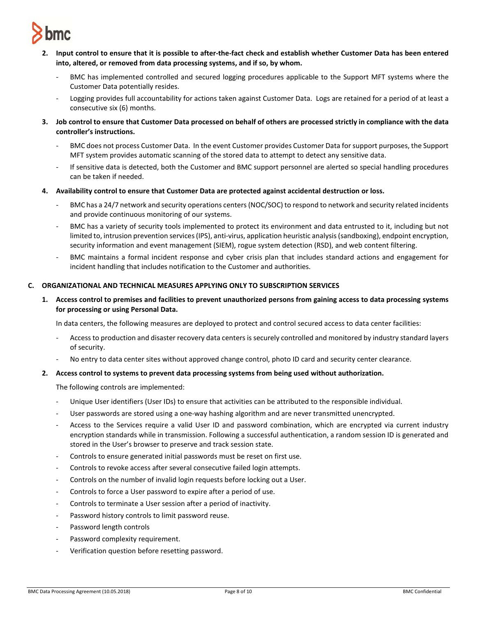

- **2. Input control to ensure that it is possible to after-the-fact check and establish whether Customer Data has been entered into, altered, or removed from data processing systems, and if so, by whom.** 
	- BMC has implemented controlled and secured logging procedures applicable to the Support MFT systems where the Customer Data potentially resides.
	- Logging provides full accountability for actions taken against Customer Data. Logs are retained for a period of at least a consecutive six (6) months.
- **3. Job control to ensure that Customer Data processed on behalf of others are processed strictly in compliance with the data controller's instructions.** 
	- BMC does not process Customer Data. In the event Customer provides Customer Data for support purposes, the Support MFT system provides automatic scanning of the stored data to attempt to detect any sensitive data.
	- If sensitive data is detected, both the Customer and BMC support personnel are alerted so special handling procedures can be taken if needed.
- **4. Availability control to ensure that Customer Data are protected against accidental destruction or loss.** 
	- BMC has a 24/7 network and security operations centers (NOC/SOC) to respond to network and security related incidents and provide continuous monitoring of our systems.
	- BMC has a variety of security tools implemented to protect its environment and data entrusted to it, including but not limited to, intrusion prevention services (IPS), anti-virus, application heuristic analysis (sandboxing), endpoint encryption, security information and event management (SIEM), rogue system detection (RSD), and web content filtering.
	- BMC maintains a formal incident response and cyber crisis plan that includes standard actions and engagement for incident handling that includes notification to the Customer and authorities.

## **C. ORGANIZATIONAL AND TECHNICAL MEASURES APPLYING ONLY TO SUBSCRIPTION SERVICES**

**1. Access control to premises and facilities to prevent unauthorized persons from gaining access to data processing systems for processing or using Personal Data.**

In data centers, the following measures are deployed to protect and control secured access to data center facilities:

- Access to production and disaster recovery data centers is securely controlled and monitored by industry standard layers of security.
- No entry to data center sites without approved change control, photo ID card and security center clearance.

### **2. Access control to systems to prevent data processing systems from being used without authorization.**

The following controls are implemented:

- Unique User identifiers (User IDs) to ensure that activities can be attributed to the responsible individual.
- User passwords are stored using a one-way hashing algorithm and are never transmitted unencrypted.
- Access to the Services require a valid User ID and password combination, which are encrypted via current industry encryption standards while in transmission. Following a successful authentication, a random session ID is generated and stored in the User's browser to preserve and track session state.
- Controls to ensure generated initial passwords must be reset on first use.
- Controls to revoke access after several consecutive failed login attempts.
- Controls on the number of invalid login requests before locking out a User.
- Controls to force a User password to expire after a period of use.
- Controls to terminate a User session after a period of inactivity.
- Password history controls to limit password reuse.
- Password length controls
- Password complexity requirement.
- Verification question before resetting password.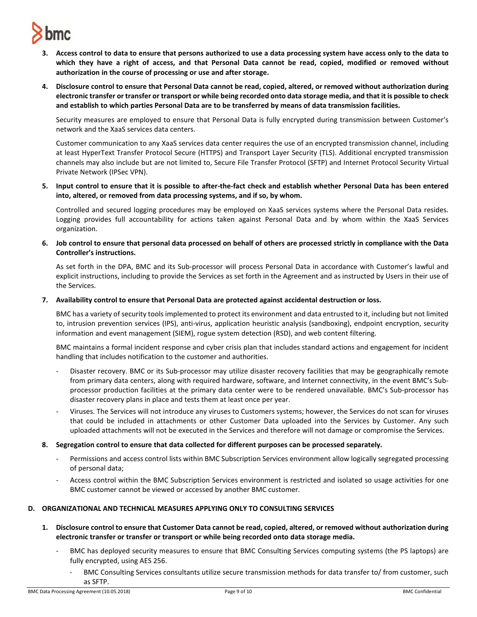

- **3. Access control to data to ensure that persons authorized to use a data processing system have access only to the data to which they have a right of access, and that Personal Data cannot be read, copied, modified or removed without authorization in the course of processing or use and after storage.**
- **4. Disclosure control to ensure that Personal Data cannot be read, copied, altered, or removed without authorization during electronic transfer or transfer or transport or while being recorded onto data storage media, and that it is possible to check and establish to which parties Personal Data are to be transferred by means of data transmission facilities.**

Security measures are employed to ensure that Personal Data is fully encrypted during transmission between Customer's network and the XaaS services data centers.

Customer communication to any XaaS services data center requires the use of an encrypted transmission channel, including at least HyperText Transfer Protocol Secure (HTTPS) and Transport Layer Security (TLS). Additional encrypted transmission channels may also include but are not limited to, Secure File Transfer Protocol (SFTP) and Internet Protocol Security Virtual Private Network (IPSec VPN).

**5. Input control to ensure that it is possible to after-the-fact check and establish whether Personal Data has been entered into, altered, or removed from data processing systems, and if so, by whom.**

Controlled and secured logging procedures may be employed on XaaS services systems where the Personal Data resides. Logging provides full accountability for actions taken against Personal Data and by whom within the XaaS Services organization.

**6. Job control to ensure that personal data processed on behalf of others are processed strictly in compliance with the Data Controller's instructions.**

As set forth in the DPA, BMC and its Sub-processor will process Personal Data in accordance with Customer's lawful and explicit instructions, including to provide the Services as set forth in the Agreement and as instructed by Users in their use of the Services.

**7. Availability control to ensure that Personal Data are protected against accidental destruction or loss.**

BMC has a variety of security tools implemented to protect its environment and data entrusted to it, including but not limited to, intrusion prevention services (IPS), anti-virus, application heuristic analysis (sandboxing), endpoint encryption, security information and event management (SIEM), rogue system detection (RSD), and web content filtering.

BMC maintains a formal incident response and cyber crisis plan that includes standard actions and engagement for incident handling that includes notification to the customer and authorities.

- Disaster recovery. BMC or its Sub-processor may utilize disaster recovery facilities that may be geographically remote from primary data centers, along with required hardware, software, and Internet connectivity, in the event BMC's Subprocessor production facilities at the primary data center were to be rendered unavailable. BMC's Sub-processor has disaster recovery plans in place and tests them at least once per year.
- Viruses. The Services will not introduce any viruses to Customers systems; however, the Services do not scan for viruses that could be included in attachments or other Customer Data uploaded into the Services by Customer. Any such uploaded attachments will not be executed in the Services and therefore will not damage or compromise the Services.
- **8. Segregation control to ensure that data collected for different purposes can be processed separately.** 
	- Permissions and access control lists within BMC Subscription Services environment allow logically segregated processing of personal data;
	- Access control within the BMC Subscription Services environment is restricted and isolated so usage activities for one BMC customer cannot be viewed or accessed by another BMC customer.

# **D. ORGANIZATIONAL AND TECHNICAL MEASURES APPLYING ONLY TO CONSULTING SERVICES**

- **1. Disclosure control to ensure that Customer Data cannot be read, copied, altered, or removed without authorization during electronic transfer or transfer or transport or while being recorded onto data storage media.**
	- BMC has deployed security measures to ensure that BMC Consulting Services computing systems (the PS laptops) are fully encrypted, using AES 256.
		- BMC Consulting Services consultants utilize secure transmission methods for data transfer to/ from customer, such as SFTP.